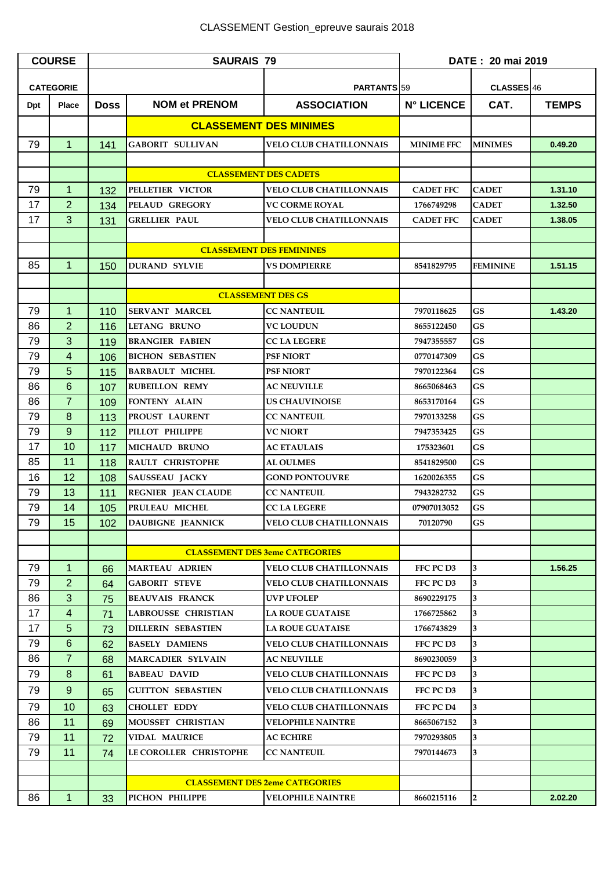| <b>COURSE</b>    |                     | <b>SAURAIS 79</b>                     |                                               |                                                                  | DATE: 20 mai 2019        |                 |              |
|------------------|---------------------|---------------------------------------|-----------------------------------------------|------------------------------------------------------------------|--------------------------|-----------------|--------------|
| <b>CATEGORIE</b> |                     |                                       | PARTANTS <sub>159</sub>                       |                                                                  | CLASSES 46               |                 |              |
| Dpt              | <b>Place</b>        | <b>Doss</b>                           | <b>NOM et PRENOM</b>                          | <b>ASSOCIATION</b>                                               | <b>N° LICENCE</b>        | CAT.            | <b>TEMPS</b> |
|                  |                     |                                       |                                               | <b>CLASSEMENT DES MINIMES</b>                                    |                          |                 |              |
| 79               | $\overline{1}$      | 141                                   | <b>GABORIT SULLIVAN</b>                       | <b>VELO CLUB CHATILLONNAIS</b>                                   | <b>MINIME FFC</b>        | <b>MINIMES</b>  | 0.49.20      |
|                  |                     |                                       |                                               |                                                                  |                          |                 |              |
|                  |                     |                                       |                                               | <b>CLASSEMENT DES CADETS</b>                                     |                          |                 |              |
| 79               | $\mathbf{1}$        | 132                                   | PELLETIER VICTOR                              | <b>VELO CLUB CHATILLONNAIS</b>                                   | <b>CADET FFC</b>         | <b>CADET</b>    | 1.31.10      |
| 17               | 2                   | 134                                   | PELAUD GREGORY                                | <b>VC CORME ROYAL</b>                                            | 1766749298               | <b>CADET</b>    | 1.32.50      |
| 17               | 3                   | 131                                   | <b>GRELLIER PAUL</b>                          | <b>VELO CLUB CHATILLONNAIS</b>                                   | <b>CADET FFC</b>         | <b>CADET</b>    | 1.38.05      |
|                  |                     |                                       |                                               |                                                                  |                          |                 |              |
|                  |                     |                                       | <b>CLASSEMENT DES FEMININES</b>               |                                                                  |                          |                 |              |
| 85               | $\mathbf{1}$        | 150                                   | <b>DURAND SYLVIE</b>                          | <b>VS DOMPIERRE</b>                                              | 8541829795               | <b>FEMININE</b> | 1.51.15      |
|                  |                     |                                       |                                               |                                                                  |                          |                 |              |
|                  |                     |                                       |                                               | <b>CLASSEMENT DES GS</b>                                         |                          |                 |              |
| 79               | $\mathbf{1}$        | 110                                   | <b>SERVANT MARCEL</b>                         | <b>CC NANTEUIL</b>                                               | 7970118625               | GS              | 1.43.20      |
| 86               | $\overline{2}$      | 116                                   | LETANG BRUNO                                  | VC LOUDUN                                                        | 8655122450               | GS              |              |
| 79               | 3                   | 119                                   | <b>BRANGIER FABIEN</b>                        | <b>CC LA LEGERE</b>                                              | 7947355557               | GS              |              |
| 79               | $\overline{4}$      | 106                                   | <b>BICHON SEBASTIEN</b>                       | <b>PSF NIORT</b>                                                 | 0770147309               | <b>GS</b>       |              |
| 79               | 5                   | 115                                   | <b>BARBAULT MICHEL</b>                        | <b>PSF NIORT</b>                                                 | 7970122364               | GS              |              |
| 86               | 6                   | 107                                   | <b>RUBEILLON REMY</b>                         | <b>AC NEUVILLE</b>                                               | 8665068463               | <b>GS</b>       |              |
| 86               | $\overline{7}$      | 109                                   | FONTENY ALAIN                                 | <b>US CHAUVINOISE</b>                                            | 8653170164               | <b>GS</b>       |              |
| 79               | 8                   | 113                                   | PROUST LAURENT                                | <b>CC NANTEUIL</b>                                               | 7970133258               | <b>GS</b>       |              |
| 79               | 9                   | 112                                   | PILLOT PHILIPPE                               | <b>VC NIORT</b>                                                  | 7947353425               | GS              |              |
| 17               | 10                  | 117                                   | <b>MICHAUD BRUNO</b>                          | <b>AC ETAULAIS</b>                                               | 175323601                | <b>GS</b>       |              |
| 85               | 11                  | 118                                   | RAULT CHRISTOPHE                              | <b>AL OULMES</b>                                                 | 8541829500               | GS              |              |
| 16               | 12                  | 108                                   | <b>SAUSSEAU JACKY</b>                         | <b>GOND PONTOUVRE</b>                                            | 1620026355               | GS              |              |
| 79               | 13                  | 111                                   | <b>REGNIER JEAN CLAUDE</b>                    | <b>CC NANTEUIL</b>                                               | 7943282732               | GS              |              |
| 79               | 14                  | 105                                   | PRULEAU MICHEL                                | <b>CC LA LEGERE</b>                                              | 07907013052              | <b>GS</b>       |              |
| 79               | 15                  | 102                                   | <b>DAUBIGNE JEANNICK</b>                      | <b>VELO CLUB CHATILLONNAIS</b>                                   | 70120790                 | GS              |              |
|                  |                     |                                       |                                               | <b>CLASSEMENT DES 3eme CATEGORIES</b>                            |                          |                 |              |
|                  |                     |                                       |                                               |                                                                  |                          |                 |              |
| 79               | 1<br>$\overline{2}$ | 66                                    | <b>MARTEAU ADRIEN</b><br><b>GABORIT STEVE</b> | <b>VELO CLUB CHATILLONNAIS</b><br><b>VELO CLUB CHATILLONNAIS</b> | FFC PC D3<br>FFC PC D3   | 3<br>3          | 1.56.25      |
| 79               | 3                   | 64                                    | <b>BEAUVAIS FRANCK</b>                        |                                                                  |                          | 3               |              |
| 86<br>17         | $\overline{4}$      | 75<br>71                              | <b>LABROUSSE CHRISTIAN</b>                    | <b>UVP UFOLEP</b><br><b>LA ROUE GUATAISE</b>                     | 8690229175<br>1766725862 | 3               |              |
| 17               | 5                   |                                       | <b>DILLERIN SEBASTIEN</b>                     | <b>LA ROUE GUATAISE</b>                                          | 1766743829               | 3               |              |
| 79               | 6                   | 73<br>62                              | <b>BASELY DAMIENS</b>                         | <b>VELO CLUB CHATILLONNAIS</b>                                   | FFC PC D3                | 3               |              |
| 86               | $\overline{7}$      | 68                                    | <b>MARCADIER SYLVAIN</b>                      | <b>AC NEUVILLE</b>                                               | 8690230059               | 3               |              |
| 79               | 8                   | 61                                    | <b>BABEAU DAVID</b>                           | <b>VELO CLUB CHATILLONNAIS</b>                                   | FFC PC D3                | 3               |              |
| 79               | 9                   | 65                                    | <b>GUITTON SEBASTIEN</b>                      | <b>VELO CLUB CHATILLONNAIS</b>                                   | FFC PC D3                | 3               |              |
| 79               | 10                  | 63                                    | <b>CHOLLET EDDY</b>                           | <b>VELO CLUB CHATILLONNAIS</b>                                   | FFC PC D4                | 3               |              |
| 86               | 11                  | 69                                    | MOUSSET CHRISTIAN                             | <b>VELOPHILE NAINTRE</b>                                         | 8665067152               | 3               |              |
| 79               | 11                  | 72                                    | <b>VIDAL MAURICE</b>                          | <b>AC ECHIRE</b>                                                 | 7970293805               | 3               |              |
| 79               | 11                  | 74                                    | LE COROLLER CHRISTOPHE                        | <b>CC NANTEUIL</b>                                               | 7970144673               | 3               |              |
|                  |                     |                                       |                                               |                                                                  |                          |                 |              |
|                  |                     | <b>CLASSEMENT DES 2eme CATEGORIES</b> |                                               |                                                                  |                          |                 |              |
| 86               | $\mathbf 1$         | 33                                    | PICHON PHILIPPE                               | <b>VELOPHILE NAINTRE</b>                                         | 8660215116               | $\overline{2}$  | 2.02.20      |
|                  |                     |                                       |                                               |                                                                  |                          |                 |              |